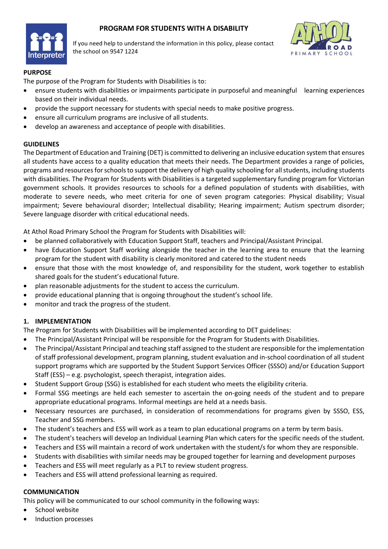# **PROGRAM FOR STUDENTS WITH A DISABILITY**



If you need help to understand the information in this policy, please contact the school on 9547 1224



### **PURPOSE**

The purpose of the Program for Students with Disabilities is to:

- ensure students with disabilities or impairments participate in purposeful and meaningful learning experiences based on their individual needs.
- provide the support necessary for students with special needs to make positive progress.
- ensure all curriculum programs are inclusive of all students.
- develop an awareness and acceptance of people with disabilities.

#### **GUIDELINES**

The Department of Education and Training (DET) is committed to delivering an inclusive education system that ensures all students have access to a quality education that meets their needs. The Department provides a range of policies, programs and resourcesfor schools to support the delivery of high quality schooling for all students, including students with disabilities. The Program for Students with Disabilities is a targeted supplementary funding program for Victorian government schools. It provides resources to schools for a defined population of students with disabilities, with moderate to severe needs, who meet criteria for one of seven program categories: Physical disability; Visual impairment; Severe behavioural disorder; Intellectual disability; Hearing impairment; Autism spectrum disorder; Severe language disorder with critical educational needs.

At Athol Road Primary School the Program for Students with Disabilities will:

- be planned collaboratively with Education Support Staff, teachers and Principal/Assistant Principal.
- have Education Support Staff working alongside the teacher in the learning area to ensure that the learning program for the student with disability is clearly monitored and catered to the student needs
- ensure that those with the most knowledge of, and responsibility for the student, work together to establish shared goals for the student's educational future.
- plan reasonable adjustments for the student to access the curriculum.
- provide educational planning that is ongoing throughout the student's school life.
- monitor and track the progress of the student.

## **1. IMPLEMENTATION**

The Program for Students with Disabilities will be implemented according to DET guidelines:

- The Principal/Assistant Principal will be responsible for the Program for Students with Disabilities.
- The Principal/Assistant Principal and teaching staff assigned to the student are responsible for the implementation of staff professional development, program planning, student evaluation and in-school coordination of all student support programs which are supported by the Student Support Services Officer (SSSO) and/or Education Support Staff (ESS) – e.g. psychologist, speech therapist, integration aides.
- Student Support Group (SSG) is established for each student who meets the eligibility criteria.
- Formal SSG meetings are held each semester to ascertain the on-going needs of the student and to prepare appropriate educational programs. Informal meetings are held at a needs basis.
- Necessary resources are purchased, in consideration of recommendations for programs given by SSSO, ESS, Teacher and SSG members.
- The student's teachers and ESS will work as a team to plan educational programs on a term by term basis.
- The student's teachers will develop an Individual Learning Plan which caters for the specific needs of the student.
- Teachers and ESS will maintain a record of work undertaken with the student/s for whom they are responsible.
- Students with disabilities with similar needs may be grouped together for learning and development purposes
- Teachers and ESS will meet regularly as a PLT to review student progress.
- Teachers and ESS will attend professional learning as required.

#### **COMMUNICATION**

This policy will be communicated to our school community in the following ways:

- School website
- Induction processes